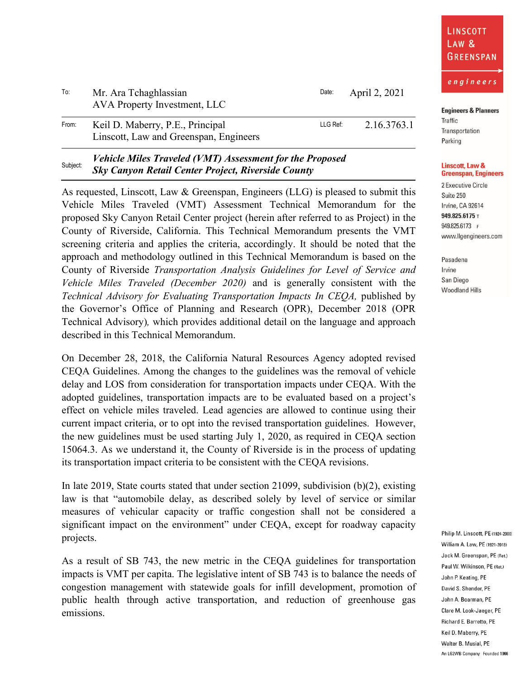| LINSCOTT<br>LAW &<br>GREENSPAN |
|--------------------------------|
|                                |

| <b>Engineers &amp; Planners</b> |  |  |  |
|---------------------------------|--|--|--|
|---------------------------------|--|--|--|

Traffic Transportation Parking

## **Linscott, Law & Greenspan, Engineers**

2 Executive Circle Suite 250 Irvine, CA 92614 949.825.6175 T 949.825.6173 F www.llgengineers.com

Pasadena Irvine San Diego **Woodland Hills** 

To: Mr. Ara Tchaghlassian AVA Property Investment, LLC Date: April 2, 2021

| From: | Keil D. Maberry, P.E., Principal       | LLG Ref: | 2.16.3763.1 |
|-------|----------------------------------------|----------|-------------|
|       | Linscott, Law and Greenspan, Engineers |          |             |

## Subject: *Vehicle Miles Traveled (VMT) Assessment for the Proposed Sky Canyon Retail Center Project, Riverside County*

As requested, Linscott, Law & Greenspan, Engineers (LLG) is pleased to submit this Vehicle Miles Traveled (VMT) Assessment Technical Memorandum for the proposed Sky Canyon Retail Center project (herein after referred to as Project) in the County of Riverside, California. This Technical Memorandum presents the VMT screening criteria and applies the criteria, accordingly. It should be noted that the approach and methodology outlined in this Technical Memorandum is based on the County of Riverside *Transportation Analysis Guidelines for Level of Service and Vehicle Miles Traveled (December 2020)* and is generally consistent with the *Technical Advisory for Evaluating Transportation Impacts In CEQA, published by* the Governor's Office of Planning and Research (OPR), December 2018 (OPR Technical Advisory)*,* which provides additional detail on the language and approach described in this Technical Memorandum.

On December 28, 2018, the California Natural Resources Agency adopted revised CEQA Guidelines. Among the changes to the guidelines was the removal of vehicle delay and LOS from consideration for transportation impacts under CEQA. With the adopted guidelines, transportation impacts are to be evaluated based on a project's effect on vehicle miles traveled. Lead agencies are allowed to continue using their current impact criteria, or to opt into the revised transportation guidelines. However, the new guidelines must be used starting July 1, 2020, as required in CEQA section 15064.3. As we understand it, the County of Riverside is in the process of updating its transportation impact criteria to be consistent with the CEQA revisions.

In late 2019, State courts stated that under section 21099, subdivision (b)(2), existing law is that "automobile delay, as described solely by level of service or similar measures of vehicular capacity or traffic congestion shall not be considered a significant impact on the environment" under CEQA, except for roadway capacity projects.

As a result of SB 743, the new metric in the CEQA guidelines for transportation impacts is VMT per capita. The legislative intent of SB 743 is to balance the needs of congestion management with statewide goals for infill development, promotion of public health through active transportation, and reduction of greenhouse gas emissions.

Philip M. Linscott, PE (1924-2000) William A. Law, PE (1921-2018) Jack M. Greenspan, PE (Ret.) Paul W. Wilkinson, PE (Ret.) John P. Keating, PE David S. Shender, PE John A. Boarman, PE Clare M. Look-Jaeger, PE Richard E. Barretto, PE Keil D. Maberry, PE Walter B. Musial, PE An LG2WB Company Founded 1966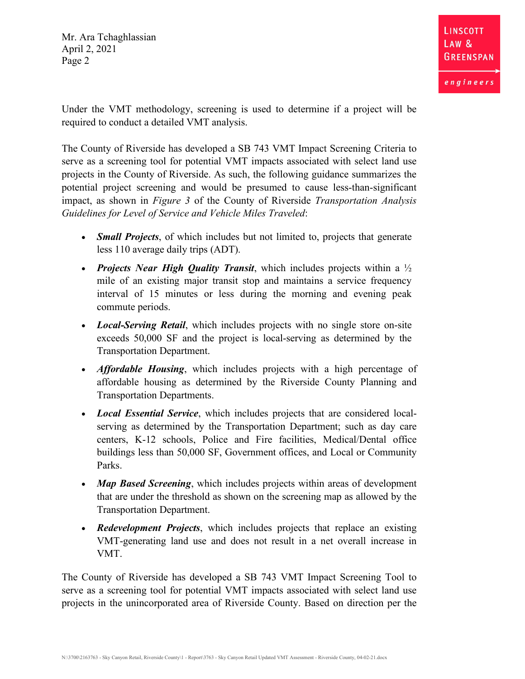Under the VMT methodology, screening is used to determine if a project will be required to conduct a detailed VMT analysis.

The County of Riverside has developed a SB 743 VMT Impact Screening Criteria to serve as a screening tool for potential VMT impacts associated with select land use projects in the County of Riverside. As such, the following guidance summarizes the potential project screening and would be presumed to cause less-than-significant impact, as shown in *Figure 3* of the County of Riverside *Transportation Analysis Guidelines for Level of Service and Vehicle Miles Traveled*:

- *Small Projects*, of which includes but not limited to, projects that generate less 110 average daily trips (ADT).
- *Projects Near High Quality Transit*, which includes projects within a ½ mile of an existing major transit stop and maintains a service frequency interval of 15 minutes or less during the morning and evening peak commute periods.
- *Local-Serving Retail*, which includes projects with no single store on-site exceeds 50,000 SF and the project is local-serving as determined by the Transportation Department.
- *Affordable Housing*, which includes projects with a high percentage of affordable housing as determined by the Riverside County Planning and Transportation Departments.
- *Local Essential Service*, which includes projects that are considered localserving as determined by the Transportation Department; such as day care centers, K-12 schools, Police and Fire facilities, Medical/Dental office buildings less than 50,000 SF, Government offices, and Local or Community Parks.
- *Map Based Screening*, which includes projects within areas of development that are under the threshold as shown on the screening map as allowed by the Transportation Department.
- *Redevelopment Projects*, which includes projects that replace an existing VMT-generating land use and does not result in a net overall increase in VMT.

The County of Riverside has developed a SB 743 VMT Impact Screening Tool to serve as a screening tool for potential VMT impacts associated with select land use projects in the unincorporated area of Riverside County. Based on direction per the